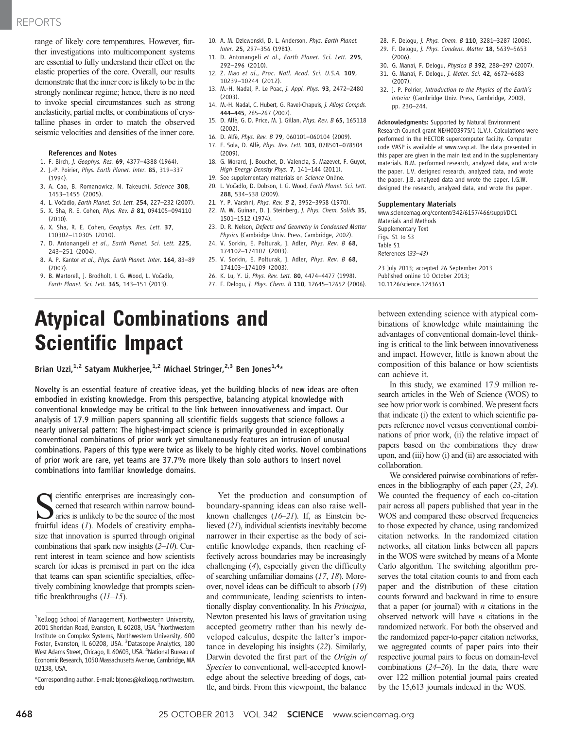### REPORTS

range of likely core temperatures. However, further investigations into multicomponent systems are essential to fully understand their effect on the elastic properties of the core. Overall, our results demonstrate that the inner core is likely to be in the strongly nonlinear regime; hence, there is no need to invoke special circumstances such as strong anelasticity, partial melts, or combinations of crystalline phases in order to match the observed seismic velocities and densities of the inner core.

#### References and Notes

- 1. F. Birch, *J. Geophys. Res.* 69, 4377–4388 (1964). 2. J.-P. Poirier, *Phys. Earth Planet. Inter.* 85, 319–337 (1994).
- 3. A. Cao, B. Romanowicz, N. Takeuchi, *Science* 308, 1453–1455 (2005).
- 4. L. Vočadlo, *Earth Planet. Sci. Lett.* 254, 227–232 (2007).
- 5. X. Sha, R. E. Cohen, *Phys. Rev. B* 81, 094105–094110 (2010).
- 6. X. Sha, R. E. Cohen, *Geophys. Res. Lett.* 37, L10302–L10305 (2010).
- 7. D. Antonangeli *et al*., *Earth Planet. Sci. Lett.* 225, 243–251 (2004).
- 8. A. P. Kantor *et al*., *Phys. Earth Planet. Inter.* 164, 83–89 (2007).
- 9. B. Martorell, J. Brodholt, I. G. Wood, L. Vočadlo, *Earth Planet. Sci. Lett.* 365, 143–151 (2013).
- 10. A. M. Dziewonski, D. L. Anderson, *Phys. Earth Planet. Inter.* 25, 297–356 (1981).
- 11. D. Antonangeli *et al*., *Earth Planet. Sci. Lett.* 295, 292–296 (2010).
- 12. Z. Mao *et al*., *Proc. Natl. Acad. Sci. U.S.A.* 109, 10239–10244 (2012).
- 13. M.-H. Nadal, P. Le Poac, *J. Appl. Phys.* 93, 2472–2480 (2003).
- 14. M.-H. Nadal, C. Hubert, G. Ravel-Chapuis, *J. Alloys Compds.* 444–445, 265–267 (2007).
- 15. D. Alfè, G. D. Price, M. J. Gillan, *Phys. Rev. B* 65, 165118 (2002).
- 16. D. Alfè, *Phys. Rev. B* 79, 060101–060104 (2009).
- 17. E. Sola, D. Alfè, *Phys. Rev. Lett.* 103, 078501–078504 (2009).
- 18. G. Morard, J. Bouchet, D. Valencia, S. Mazevet, F. Guyot, *High Energy Density Phys.* 7, 141–144 (2011).
- 19. See supplementary materials on *Science* Online. 20. L. Vočadlo, D. Dobson, I. G. Wood, *Earth Planet. Sci. Lett.* 288, 534–538 (2009).
- 21. Y. P. Varshni, *Phys. Rev. B* 2, 3952–3958 (1970).
- 22. M. W. Guinan, D. J. Steinberg, *J. Phys. Chem. Solids* 35, 1501–1512 (1974).
- 23. D. R. Nelson, *Defects and Geometry in Condensed Matter Physics* (Cambridge Univ. Press, Cambridge, 2002).
- 24. V. Sorkin, E. Polturak, J. Adler, *Phys. Rev. B* 68, 174102–174107 (2003).
- 25. V. Sorkin, E. Polturak, J. Adler, *Phys. Rev. B* 68, 174103–174109 (2003).
- 26. K. Lu, Y. Li, *Phys. Rev. Lett.* 80, 4474–4477 (1998).
- 27. F. Delogu, *J. Phys. Chem. B* 110, 12645–12652 (2006).
- 28. F. Delogu, *J. Phys. Chem. B* 110, 3281–3287 (2006).
- 29. F. Delogu, *J. Phys. Condens. Matter* 18, 5639–5653  $(2006)$
- 30. G. Manai, F. Delogu, *Physica B* 392, 288–297 (2007).
- 31. G. Manai, F. Delogu, *J. Mater. Sci.* 42, 6672–6683 (2007).
- 32. J. P. Poirier, *Introduction to the Physics of the Earth*'*s Interior* (Cambridge Univ. Press, Cambridge, 2000), pp. 230–244.

Acknowledgments: Supported by Natural Environment Research Council grant NE/H003975/1 (L.V.). Calculations were performed in the HECTOR supercomputer facility. Computer code VASP is available at www.vasp.at. The data presented in this paper are given in the main text and in the supplementary materials. B.M. performed research, analyzed data, and wrote the paper. L.V. designed research, analyzed data, and wrote the paper. J.B. analyzed data and wrote the paper. I.G.W. designed the research, analyzed data, and wrote the paper.

#### Supplementary Materials

www.sciencemag.org/content/342/6157/466/suppl/DC1 Materials and Methods Supplementary Text Figs. S1 to S3 Table S1 References (*33*–*43*)

23 July 2013; accepted 26 September 2013 Published online 10 October 2013; 10.1126/science.1243651

## Atypical Combinations and Scientific Impact

Brian Uzzi,<sup>1,2</sup> Satyam Mukherjee,<sup>1,2</sup> Michael Stringer,<sup>2,3</sup> Ben Jones<sup>1,4</sup>\*

Novelty is an essential feature of creative ideas, yet the building blocks of new ideas are often embodied in existing knowledge. From this perspective, balancing atypical knowledge with conventional knowledge may be critical to the link between innovativeness and impact. Our analysis of 17.9 million papers spanning all scientific fields suggests that science follows a nearly universal pattern: The highest-impact science is primarily grounded in exceptionally conventional combinations of prior work yet simultaneously features an intrusion of unusual combinations. Papers of this type were twice as likely to be highly cited works. Novel combinations of prior work are rare, yet teams are 37.7% more likely than solo authors to insert novel combinations into familiar knowledge domains.

Solution conterprises are increasingly concerned that research within narrow bound-<br>aries is unlikely to be the source of the most fruitful ideas (1). Models of creativity emphacientific enterprises are increasingly concerned that research within narrow boundaries is unlikely to be the source of the most size that innovation is spurred through original combinations that spark new insights  $(2-10)$ . Current interest in team science and how scientists search for ideas is premised in part on the idea that teams can span scientific specialties, effectively combining knowledge that prompts scientific breakthroughs  $(11-15)$ .

Yet the production and consumption of boundary-spanning ideas can also raise wellknown challenges (16–21). If, as Einstein believed (21), individual scientists inevitably become narrower in their expertise as the body of scientific knowledge expands, then reaching effectively across boundaries may be increasingly challenging (4), especially given the difficulty of searching unfamiliar domains (17, 18). Moreover, novel ideas can be difficult to absorb (19) and communicate, leading scientists to intentionally display conventionality. In his Principia, Newton presented his laws of gravitation using accepted geometry rather than his newly developed calculus, despite the latter's importance in developing his insights (22). Similarly, Darwin devoted the first part of the Origin of Species to conventional, well-accepted knowledge about the selective breeding of dogs, cattle, and birds. From this viewpoint, the balance

between extending science with atypical combinations of knowledge while maintaining the advantages of conventional domain-level thinking is critical to the link between innovativeness and impact. However, little is known about the composition of this balance or how scientists can achieve it.

In this study, we examined 17.9 million research articles in the Web of Science (WOS) to see how prior work is combined. We present facts that indicate (i) the extent to which scientific papers reference novel versus conventional combinations of prior work, (ii) the relative impact of papers based on the combinations they draw upon, and (iii) how (i) and (ii) are associated with collaboration.

We considered pairwise combinations of references in the bibliography of each paper (23, 24). We counted the frequency of each co-citation pair across all papers published that year in the WOS and compared these observed frequencies to those expected by chance, using randomized citation networks. In the randomized citation networks, all citation links between all papers in the WOS were switched by means of a Monte Carlo algorithm. The switching algorithm preserves the total citation counts to and from each paper and the distribution of these citation counts forward and backward in time to ensure that a paper (or journal) with  $n$  citations in the observed network will have  $n$  citations in the randomized network. For both the observed and the randomized paper-to-paper citation networks, we aggregated counts of paper pairs into their respective journal pairs to focus on domain-level combinations  $(24-26)$ . In the data, there were over 122 million potential journal pairs created by the 15,613 journals indexed in the WOS.

<sup>&</sup>lt;sup>1</sup>Kellogg School of Management, Northwestern University, 2001 Sheridan Road, Evanston, IL 60208, USA. <sup>2</sup>Northwestern Institute on Complex Systems, Northwestern University, 600 Foster, Evanston, IL 60208, USA. <sup>3</sup>Datascope Analytics, 180 West Adams Street, Chicago, IL 60603, USA. <sup>4</sup>National Bureau of Economic Research, 1050 Massachusetts Avenue, Cambridge, MA 02138, USA.

<sup>\*</sup>Corresponding author. E-mail: bjones@kellogg.northwestern. edu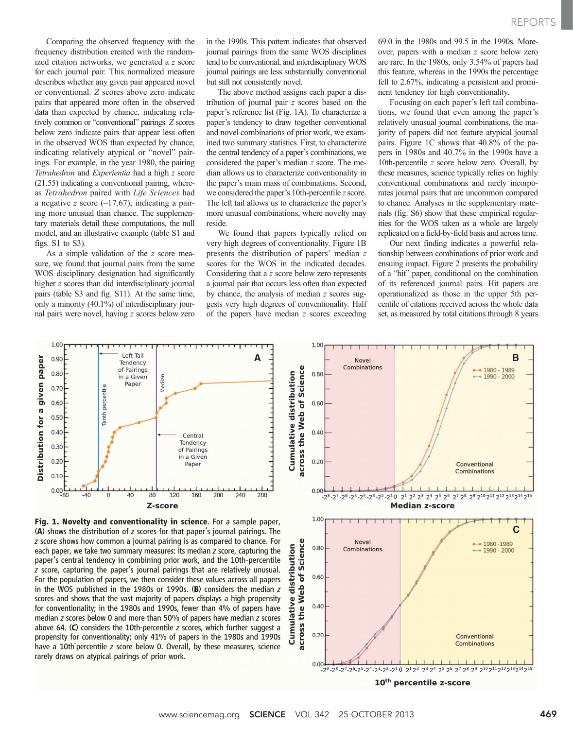Comparing the observed frequency with the frequency distribution created with the randomized citation networks, we generated a z score for each journal pair. This normalized measure describes whether any given pair appeared novel or conventional. Z scores above zero indicate pairs that appeared more often in the observed data than expected by chance, indicating relatively common or "conventional" pairings. Z scores below zero indicate pairs that appear less often in the observed WOS than expected by chance, indicating relatively atypical or "novel" pairings. For example, in the year 1980, the pairing Tetrahedron and Experientia had a high z score (21.55) indicating a conventional pairing, whereas Tetrahedron paired with Life Sciences had a negative z score  $(-17.67)$ , indicating a pairing more unusual than chance. The supplementary materials detail these computations, the null model, and an illustrative example (table S1 and figs. S1 to S3).

As a simple validation of the z score measure, we found that journal pairs from the same WOS disciplinary designation had significantly higher z scores than did interdisciplinary journal pairs (table S3 and fig. S11). At the same time, only a minority (40.1%) of interdisciplinary journal pairs were novel, having z scores below zero

in the 1990s. This pattern indicates that observed journal pairings from the same WOS disciplines tend to be conventional, and interdisciplinary WOS journal pairings are less substantially conventional but still not consistently novel.

The above method assigns each paper a distribution of journal pair z scores based on the paper's reference list (Fig. 1A). To characterize a paper's tendency to draw together conventional and novel combinations of prior work, we examined two summary statistics. First, to characterize the central tendency of a paper's combinations, we considered the paper's median z score. The median allows us to characterize conventionality in the paper's main mass of combinations. Second, we considered the paper's  $10$ th-percentile z score. The left tail allows us to characterize the paper's more unusual combinations, where novelty may reside.

We found that papers typically relied on very high degrees of conventionality. Figure 1B presents the distribution of papers' median z scores for the WOS in the indicated decades. Considering that a z score below zero represents a journal pair that occurs less often than expected by chance, the analysis of median z scores suggests very high degrees of conventionality. Half of the papers have median z scores exceeding

1.00

69.0 in the 1980s and 99.5 in the 1990s. Moreover, papers with a median z score below zero are rare. In the 1980s, only 3.54% of papers had this feature, whereas in the 1990s the percentage fell to 2.67%, indicating a persistent and prominent tendency for high conventionality.

Focusing on each paper's left tail combinations, we found that even among the paper's relatively unusual journal combinations, the majority of papers did not feature atypical journal pairs. Figure 1C shows that 40.8% of the papers in 1980s and 40.7% in the 1990s have a 10th-percentile z score below zero. Overall, by these measures, science typically relies on highly conventional combinations and rarely incorporates journal pairs that are uncommon compared to chance. Analyses in the supplementary materials (fig. S6) show that these empirical regularities for the WOS taken as a whole are largely replicated on a field-by-field basis and across time.

Our next finding indicates a powerful relationship between combinations of prior work and ensuing impact. Figure 2 presents the probability of a "hit" paper, conditional on the combination of its referenced journal pairs. Hit papers are operationalized as those in the upper 5th percentile of citations received across the whole data set, as measured by total citations through 8 years



Fig. 1. Novelty and conventionality in science. For a sample paper, (A) shows the distribution of z scores for that paper's journal pairings. The z score shows how common a journal pairing is as compared to chance. For each paper, we take two summary measures: its median z score, capturing the paper's central tendency in combining prior work, and the 10th-percentile z score, capturing the paper's journal pairings that are relatively unusual. For the population of papers, we then consider these values across all papers in the WOS published in the 1980s or 1990s. (B) considers the median z scores and shows that the vast majority of papers displays a high propensity for conventionality; in the 1980s and 1990s, fewer than 4% of papers have median z scores below 0 and more than 50% of papers have median z scores above 64. (C) considers the 10th-percentile  $z$  scores, which further suggest a propensity for conventionality; only 41% of papers in the 1980s and 1990s have a 10th percentile z score below 0. Overall, by these measures, science rarely draws on atypical pairings of prior work.

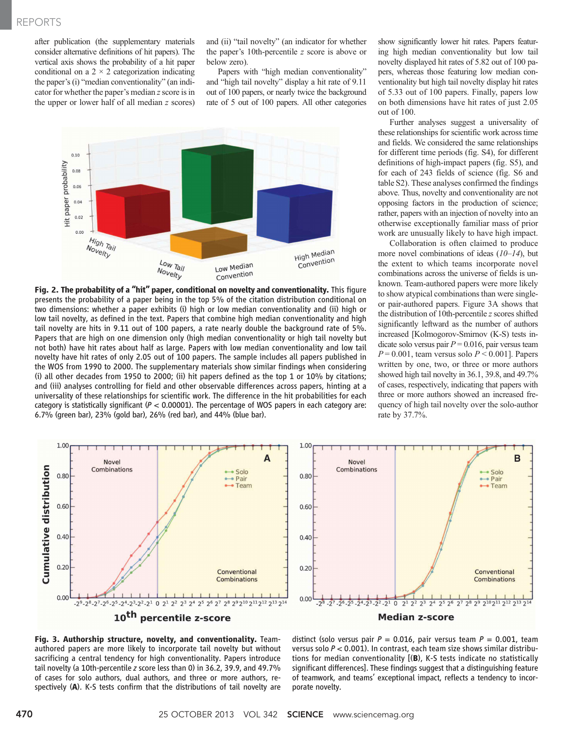after publication (the supplementary materials consider alternative definitions of hit papers). The vertical axis shows the probability of a hit paper conditional on a  $2 \times 2$  categorization indicating the paper's (i) "median conventionality" (an indicator for whether the paper's median z score is in the upper or lower half of all median z scores)

and (ii) "tail novelty" (an indicator for whether the paper's 10th-percentile z score is above or below zero).

Papers with "high median conventionality" and "high tail novelty" display a hit rate of 9.11 out of 100 papers, or nearly twice the background rate of 5 out of 100 papers. All other categories



Fig. 2. The probability of a "hit" paper, conditional on novelty and conventionality. This figure presents the probability of a paper being in the top 5% of the citation distribution conditional on two dimensions: whether a paper exhibits (i) high or low median conventionality and (ii) high or low tail novelty, as defined in the text. Papers that combine high median conventionality and high tail novelty are hits in 9.11 out of 100 papers, a rate nearly double the background rate of 5%. Papers that are high on one dimension only (high median conventionality or high tail novelty but not both) have hit rates about half as large. Papers with low median conventionality and low tail novelty have hit rates of only 2.05 out of 100 papers. The sample includes all papers published in the WOS from 1990 to 2000. The supplementary materials show similar findings when considering (i) all other decades from 1950 to 2000; (ii) hit papers defined as the top 1 or 10% by citations; and (iii) analyses controlling for field and other observable differences across papers, hinting at a universality of these relationships for scientific work. The difference in the hit probabilities for each category is statistically significant ( $P < 0.00001$ ). The percentage of WOS papers in each category are: 6.7% (green bar), 23% (gold bar), 26% (red bar), and 44% (blue bar).

show significantly lower hit rates. Papers featuring high median conventionality but low tail novelty displayed hit rates of 5.82 out of 100 papers, whereas those featuring low median conventionality but high tail novelty display hit rates of 5.33 out of 100 papers. Finally, papers low on both dimensions have hit rates of just 2.05 out of 100.

Further analyses suggest a universality of these relationships for scientific work across time and fields. We considered the same relationships for different time periods (fig. S4), for different definitions of high-impact papers (fig. S5), and for each of 243 fields of science (fig. S6 and table S2). These analyses confirmed the findings above. Thus, novelty and conventionality are not opposing factors in the production of science; rather, papers with an injection of novelty into an otherwise exceptionally familiar mass of prior work are unusually likely to have high impact.

Collaboration is often claimed to produce more novel combinations of ideas (10–14), but the extent to which teams incorporate novel combinations across the universe of fields is unknown. Team-authored papers were more likely to show atypical combinations than were singleor pair-authored papers. Figure 3A shows that the distribution of 10th-percentile z scores shifted significantly leftward as the number of authors increased [Kolmogorov-Smirnov (K-S) tests indicate solo versus pair  $P = 0.016$ , pair versus team  $P = 0.001$ , team versus solo  $P \le 0.001$ . Papers written by one, two, or three or more authors showed high tail novelty in 36.1, 39.8, and 49.7% of cases, respectively, indicating that papers with three or more authors showed an increased frequency of high tail novelty over the solo-author rate by 37.7%.



Fig. 3. Authorship structure, novelty, and conventionality. Teamauthored papers are more likely to incorporate tail novelty but without sacrificing a central tendency for high conventionality. Papers introduce tail novelty (a 10th-percentile z score less than 0) in 36.2, 39.9, and 49.7% of cases for solo authors, dual authors, and three or more authors, respectively (A). K-S tests confirm that the distributions of tail novelty are

distinct (solo versus pair  $P = 0.016$ , pair versus team  $P = 0.001$ , team versus solo  $P < 0.001$ ). In contrast, each team size shows similar distributions for median conventionality [(B), K-S tests indicate no statistically significant differences]. These findings suggest that a distinguishing feature of teamwork, and teams' exceptional impact, reflects a tendency to incorporate novelty.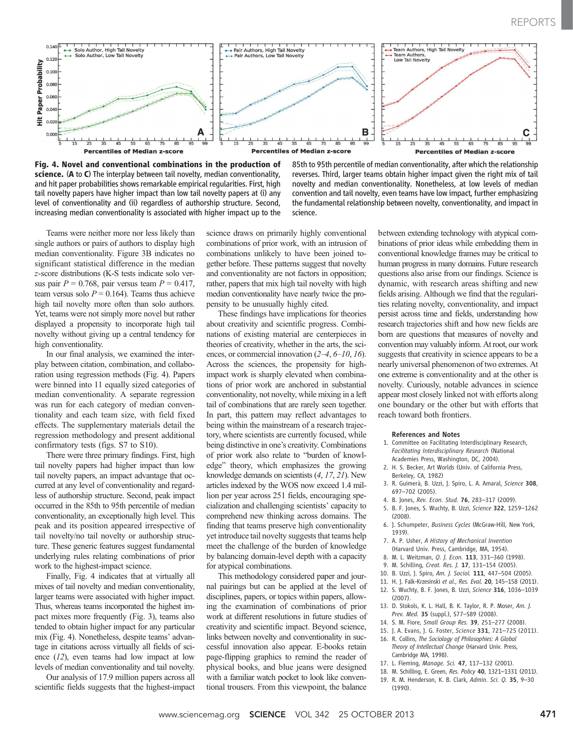

Fig. 4. Novel and conventional combinations in the production of science. (A to C) The interplay between tail novelty, median conventionality, and hit paper probabilities shows remarkable empirical regularities. First, high tail novelty papers have higher impact than low tail novelty papers at (i) any level of conventionality and (ii) regardless of authorship structure. Second, increasing median conventionality is associated with higher impact up to the

85th to 95th percentile of median conventionality, after which the relationship reverses. Third, larger teams obtain higher impact given the right mix of tail novelty and median conventionality. Nonetheless, at low levels of median convention and tail novelty, even teams have low impact, further emphasizing the fundamental relationship between novelty, conventionality, and impact in science.

Teams were neither more nor less likely than single authors or pairs of authors to display high median conventionality. Figure 3B indicates no significant statistical difference in the median z-score distributions (K-S tests indicate solo versus pair  $P = 0.768$ , pair versus team  $P = 0.417$ , team versus solo  $P = 0.164$ ). Teams thus achieve high tail novelty more often than solo authors. Yet, teams were not simply more novel but rather displayed a propensity to incorporate high tail novelty without giving up a central tendency for high conventionality.

In our final analysis, we examined the interplay between citation, combination, and collaboration using regression methods (Fig. 4). Papers were binned into 11 equally sized categories of median conventionality. A separate regression was run for each category of median conventionality and each team size, with field fixed effects. The supplementary materials detail the regression methodology and present additional confirmatory tests (figs. S7 to S10).

There were three primary findings. First, high tail novelty papers had higher impact than low tail novelty papers, an impact advantage that occurred at any level of conventionality and regardless of authorship structure. Second, peak impact occurred in the 85th to 95th percentile of median conventionality, an exceptionally high level. This peak and its position appeared irrespective of tail novelty/no tail novelty or authorship structure. These generic features suggest fundamental underlying rules relating combinations of prior work to the highest-impact science.

Finally, Fig. 4 indicates that at virtually all mixes of tail novelty and median conventionality, larger teams were associated with higher impact. Thus, whereas teams incorporated the highest impact mixes more frequently (Fig. 3), teams also tended to obtain higher impact for any particular mix (Fig. 4). Nonetheless, despite teams' advantage in citations across virtually all fields of science (12), even teams had low impact at low levels of median conventionality and tail novelty.

Our analysis of 17.9 million papers across all scientific fields suggests that the highest-impact science draws on primarily highly conventional combinations of prior work, with an intrusion of combinations unlikely to have been joined together before. These patterns suggest that novelty and conventionality are not factors in opposition; rather, papers that mix high tail novelty with high median conventionality have nearly twice the propensity to be unusually highly cited.

These findings have implications for theories about creativity and scientific progress. Combinations of existing material are centerpieces in theories of creativity, whether in the arts, the sciences, or commercial innovation  $(2-4, 6-10, 16)$ . Across the sciences, the propensity for highimpact work is sharply elevated when combinations of prior work are anchored in substantial conventionality, not novelty, while mixing in a left tail of combinations that are rarely seen together. In part, this pattern may reflect advantages to being within the mainstream of a research trajectory, where scientists are currently focused, while being distinctive in one's creativity. Combinations of prior work also relate to "burden of knowledge" theory, which emphasizes the growing knowledge demands on scientists (4, 17, 21). New articles indexed by the WOS now exceed 1.4 million per year across 251 fields, encouraging specialization and challenging scientists' capacity to comprehend new thinking across domains. The finding that teams preserve high conventionality yet introduce tail novelty suggests that teams help meet the challenge of the burden of knowledge by balancing domain-level depth with a capacity for atypical combinations.

This methodology considered paper and journal pairings but can be applied at the level of disciplines, papers, or topics within papers, allowing the examination of combinations of prior work at different resolutions in future studies of creativity and scientific impact. Beyond science, links between novelty and conventionality in successful innovation also appear. E-books retain page-flipping graphics to remind the reader of physical books, and blue jeans were designed with a familiar watch pocket to look like conventional trousers. From this viewpoint, the balance

between extending technology with atypical combinations of prior ideas while embedding them in conventional knowledge frames may be critical to human progress in many domains. Future research questions also arise from our findings. Science is dynamic, with research areas shifting and new fields arising. Although we find that the regularities relating novelty, conventionality, and impact persist across time and fields, understanding how research trajectories shift and how new fields are born are questions that measures of novelty and convention may valuably inform. At root, our work suggests that creativity in science appears to be a nearly universal phenomenon of two extremes. At one extreme is conventionality and at the other is novelty. Curiously, notable advances in science appear most closely linked not with efforts along one boundary or the other but with efforts that reach toward both frontiers.

#### References and Notes

- 1. Committee on Facilitating Interdisciplinary Research, *Facilitating Interdisciplinary Research* (National Academies Press, Washington, DC, 2004).
- 2. H. S. Becker, Art Worlds (Univ. of California Press, Berkeley, CA, 1982)
- 3. R. Guimerà, B. Uzzi, J. Spiro, L. A. Amaral, *Science* 308, 697–702 (2005).
- 4. B. Jones, *Rev. Econ. Stud.* 76, 283–317 (2009).
- 5. B. F. Jones, S. Wuchty, B. Uzzi, *Science* 322, 1259–1262 (2008).
- 6. J. Schumpeter, *Business Cycles* (McGraw-Hill, New York, 1939).
- 7. A. P. Usher, *A History of Mechanical Invention* (Harvard Univ. Press, Cambridge, MA, 1954).
- 8. M. L. Weitzman, *Q. J. Econ.* 113, 331–360 (1998).
- 9. M. Schilling, *Creat. Res. J.* 17, 131–154 (2005).
- 10. B. Uzzi, J. Spiro, *Am. J. Sociol.* 111, 447–504 (2005).
- 11. H. J. Falk-Krzesinski *et al*., *Res. Eval.* 20, 145–158 (2011).
- 12. S. Wuchty, B. F. Jones, B. Uzzi, *Science* 316, 1036–1039 (2007).
- 13. D. Stokols, K. L. Hall, B. K. Taylor, R. P. Moser, *Am. J. Prev. Med.* 35 (suppl.), S77–S89 (2008).
- 14. S. M. Fiore, *Small Group Res.* 39, 251–277 (2008).
- 15. J. A. Evans, J. G. Foster, *Science* 331, 721–725 (2011).
- 16. R. Collins, *The Sociology of Philosophies: A Global Theory of Intellectual Change* (Harvard Univ. Press, Cambridge MA, 1998).
- 17. L. Fleming, *Manage. Sci.* 47, 117–132 (2001).
- 18. M. Schilling, E. Green, *Res. Policy* 40, 1321–1331 (2011).
- 19. R. M. Henderson, K. B. Clark, *Admin. Sci. Q.* 35, 9–30 (1990).